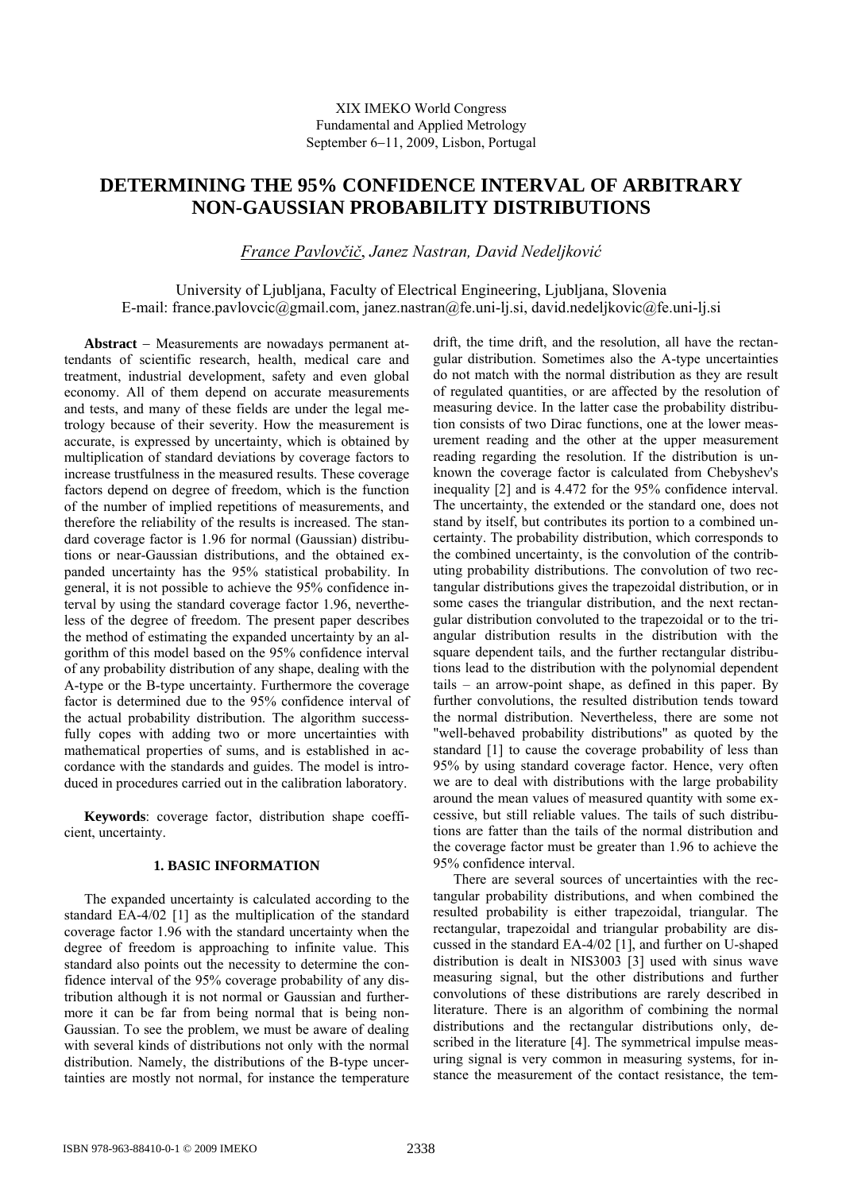#### XIX IMEKO World Congress Fundamental and Applied Metrology September 6−11, 2009, Lisbon, Portugal

# **DETERMINING THE 95% CONFIDENCE INTERVAL OF ARBITRARY NON-GAUSSIAN PROBABILITY DISTRIBUTIONS**

*France Pavlovčič*, *Janez Nastran, David Nedeljković*

# University of Ljubljana, Faculty of Electrical Engineering, Ljubljana, Slovenia E-mail: france.pavlovcic@gmail.com, janez.nastran@fe.uni-lj.si, david.nedeljkovic@fe.uni-lj.si

**Abstract** − Measurements are nowadays permanent attendants of scientific research, health, medical care and treatment, industrial development, safety and even global economy. All of them depend on accurate measurements and tests, and many of these fields are under the legal metrology because of their severity. How the measurement is accurate, is expressed by uncertainty, which is obtained by multiplication of standard deviations by coverage factors to increase trustfulness in the measured results. These coverage factors depend on degree of freedom, which is the function of the number of implied repetitions of measurements, and therefore the reliability of the results is increased. The standard coverage factor is 1.96 for normal (Gaussian) distributions or near-Gaussian distributions, and the obtained expanded uncertainty has the 95% statistical probability. In general, it is not possible to achieve the 95% confidence interval by using the standard coverage factor 1.96, nevertheless of the degree of freedom. The present paper describes the method of estimating the expanded uncertainty by an algorithm of this model based on the 95% confidence interval of any probability distribution of any shape, dealing with the A-type or the B-type uncertainty. Furthermore the coverage factor is determined due to the 95% confidence interval of the actual probability distribution. The algorithm successfully copes with adding two or more uncertainties with mathematical properties of sums, and is established in accordance with the standards and guides. The model is introduced in procedures carried out in the calibration laboratory.

**Keywords**: coverage factor, distribution shape coefficient, uncertainty.

## **1. BASIC INFORMATION**

The expanded uncertainty is calculated according to the standard EA-4/02 [1] as the multiplication of the standard coverage factor 1.96 with the standard uncertainty when the degree of freedom is approaching to infinite value. This standard also points out the necessity to determine the confidence interval of the 95% coverage probability of any distribution although it is not normal or Gaussian and furthermore it can be far from being normal that is being non-Gaussian. To see the problem, we must be aware of dealing with several kinds of distributions not only with the normal distribution. Namely, the distributions of the B-type uncertainties are mostly not normal, for instance the temperature

drift, the time drift, and the resolution, all have the rectangular distribution. Sometimes also the A-type uncertainties do not match with the normal distribution as they are result of regulated quantities, or are affected by the resolution of measuring device. In the latter case the probability distribution consists of two Dirac functions, one at the lower measurement reading and the other at the upper measurement reading regarding the resolution. If the distribution is unknown the coverage factor is calculated from Chebyshev's inequality [2] and is 4.472 for the 95% confidence interval. The uncertainty, the extended or the standard one, does not stand by itself, but contributes its portion to a combined uncertainty. The probability distribution, which corresponds to the combined uncertainty, is the convolution of the contributing probability distributions. The convolution of two rectangular distributions gives the trapezoidal distribution, or in some cases the triangular distribution, and the next rectangular distribution convoluted to the trapezoidal or to the triangular distribution results in the distribution with the square dependent tails, and the further rectangular distributions lead to the distribution with the polynomial dependent tails – an arrow-point shape, as defined in this paper. By further convolutions, the resulted distribution tends toward the normal distribution. Nevertheless, there are some not "well-behaved probability distributions" as quoted by the standard [1] to cause the coverage probability of less than 95% by using standard coverage factor. Hence, very often we are to deal with distributions with the large probability around the mean values of measured quantity with some excessive, but still reliable values. The tails of such distributions are fatter than the tails of the normal distribution and the coverage factor must be greater than 1.96 to achieve the 95% confidence interval.

There are several sources of uncertainties with the rectangular probability distributions, and when combined the resulted probability is either trapezoidal, triangular. The rectangular, trapezoidal and triangular probability are discussed in the standard EA-4/02 [1], and further on U-shaped distribution is dealt in NIS3003 [3] used with sinus wave measuring signal, but the other distributions and further convolutions of these distributions are rarely described in literature. There is an algorithm of combining the normal distributions and the rectangular distributions only, described in the literature [4]. The symmetrical impulse measuring signal is very common in measuring systems, for instance the measurement of the contact resistance, the tem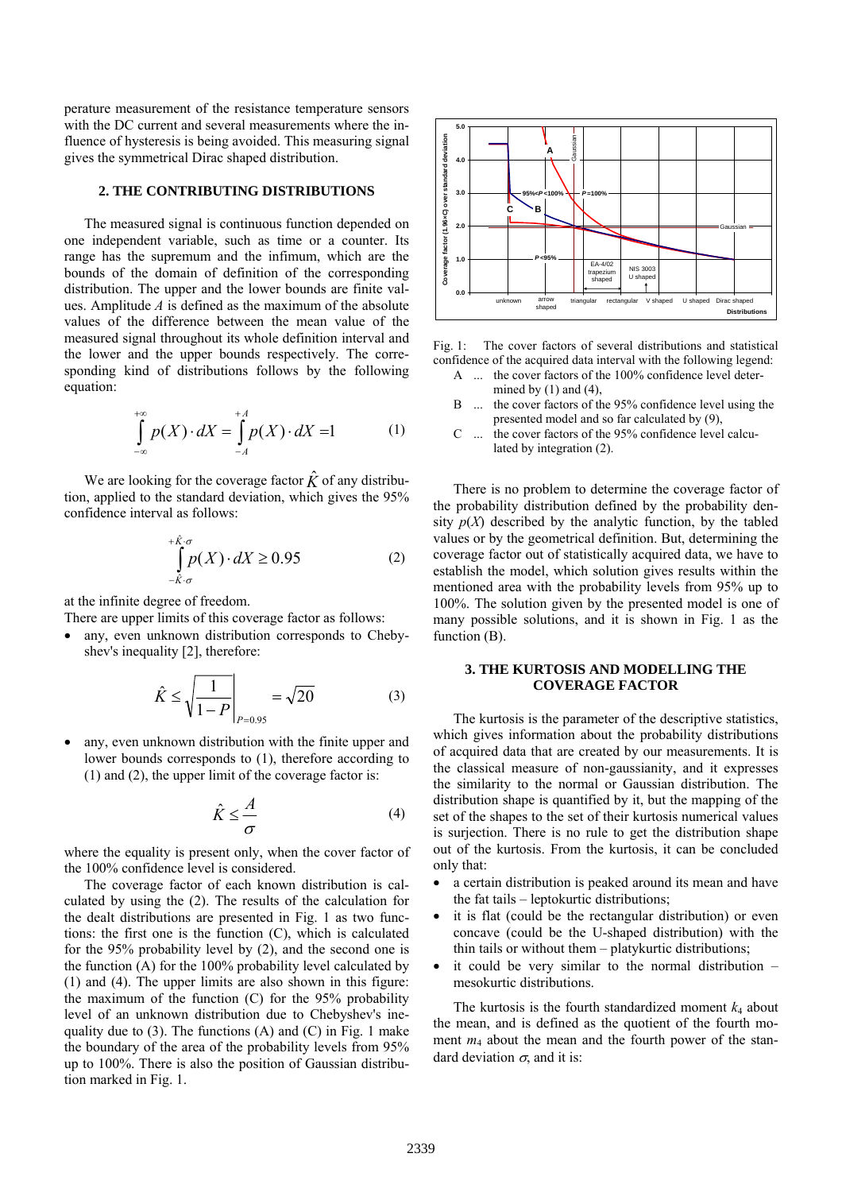perature measurement of the resistance temperature sensors with the DC current and several measurements where the influence of hysteresis is being avoided. This measuring signal gives the symmetrical Dirac shaped distribution.

#### **2. THE CONTRIBUTING DISTRIBUTIONS**

The measured signal is continuous function depended on one independent variable, such as time or a counter. Its range has the supremum and the infimum, which are the bounds of the domain of definition of the corresponding distribution. The upper and the lower bounds are finite values. Amplitude *A* is defined as the maximum of the absolute values of the difference between the mean value of the measured signal throughout its whole definition interval and the lower and the upper bounds respectively. The corresponding kind of distributions follows by the following equation:

$$
\int_{-\infty}^{+\infty} p(X) \cdot dX = \int_{-A}^{+A} p(X) \cdot dX = 1 \tag{1}
$$

We are looking for the coverage factor  $\hat{K}$  of any distribution, applied to the standard deviation, which gives the 95% confidence interval as follows:

$$
\int_{-\hat{K}\cdot\sigma}^{+\hat{K}\cdot\sigma} p(X) \cdot dX \ge 0.95
$$
 (2)

at the infinite degree of freedom.

- There are upper limits of this coverage factor as follows:
- any, even unknown distribution corresponds to Chebyshev's inequality [2], therefore:

$$
\hat{K} \le \sqrt{\frac{1}{1 - P}} \bigg|_{P = 0.95} = \sqrt{20} \tag{3}
$$

any, even unknown distribution with the finite upper and lower bounds corresponds to (1), therefore according to (1) and (2), the upper limit of the coverage factor is:

$$
\hat{K} \le \frac{A}{\sigma} \tag{4}
$$

where the equality is present only, when the cover factor of the 100% confidence level is considered.

The coverage factor of each known distribution is calculated by using the (2). The results of the calculation for the dealt distributions are presented in Fig. 1 as two functions: the first one is the function (C), which is calculated for the 95% probability level by (2), and the second one is the function (A) for the 100% probability level calculated by (1) and (4). The upper limits are also shown in this figure: the maximum of the function (C) for the 95% probability level of an unknown distribution due to Chebyshev's inequality due to  $(3)$ . The functions  $(A)$  and  $(C)$  in Fig. 1 make the boundary of the area of the probability levels from 95% up to 100%. There is also the position of Gaussian distribution marked in Fig. 1.



Fig. 1: The cover factors of several distributions and statistical confidence of the acquired data interval with the following legend:

- A ... the cover factors of the 100% confidence level determined by  $(1)$  and  $(4)$ ,
- B ... the cover factors of the 95% confidence level using the presented model and so far calculated by (9),
- C ... the cover factors of the 95% confidence level calculated by integration (2).

There is no problem to determine the coverage factor of the probability distribution defined by the probability density  $p(X)$  described by the analytic function, by the tabled values or by the geometrical definition. But, determining the coverage factor out of statistically acquired data, we have to establish the model, which solution gives results within the mentioned area with the probability levels from 95% up to 100%. The solution given by the presented model is one of many possible solutions, and it is shown in Fig. 1 as the function (B).

#### **3. THE KURTOSIS AND MODELLING THE COVERAGE FACTOR**

The kurtosis is the parameter of the descriptive statistics, which gives information about the probability distributions of acquired data that are created by our measurements. It is the classical measure of non-gaussianity, and it expresses the similarity to the normal or Gaussian distribution. The distribution shape is quantified by it, but the mapping of the set of the shapes to the set of their kurtosis numerical values is surjection. There is no rule to get the distribution shape out of the kurtosis. From the kurtosis, it can be concluded only that:

- a certain distribution is peaked around its mean and have the fat tails – leptokurtic distributions;
- it is flat (could be the rectangular distribution) or even concave (could be the U-shaped distribution) with the thin tails or without them – platykurtic distributions;
- it could be very similar to the normal distribution mesokurtic distributions.

The kurtosis is the fourth standardized moment  $k_4$  about the mean, and is defined as the quotient of the fourth moment  $m_4$  about the mean and the fourth power of the standard deviation  $\sigma$ , and it is: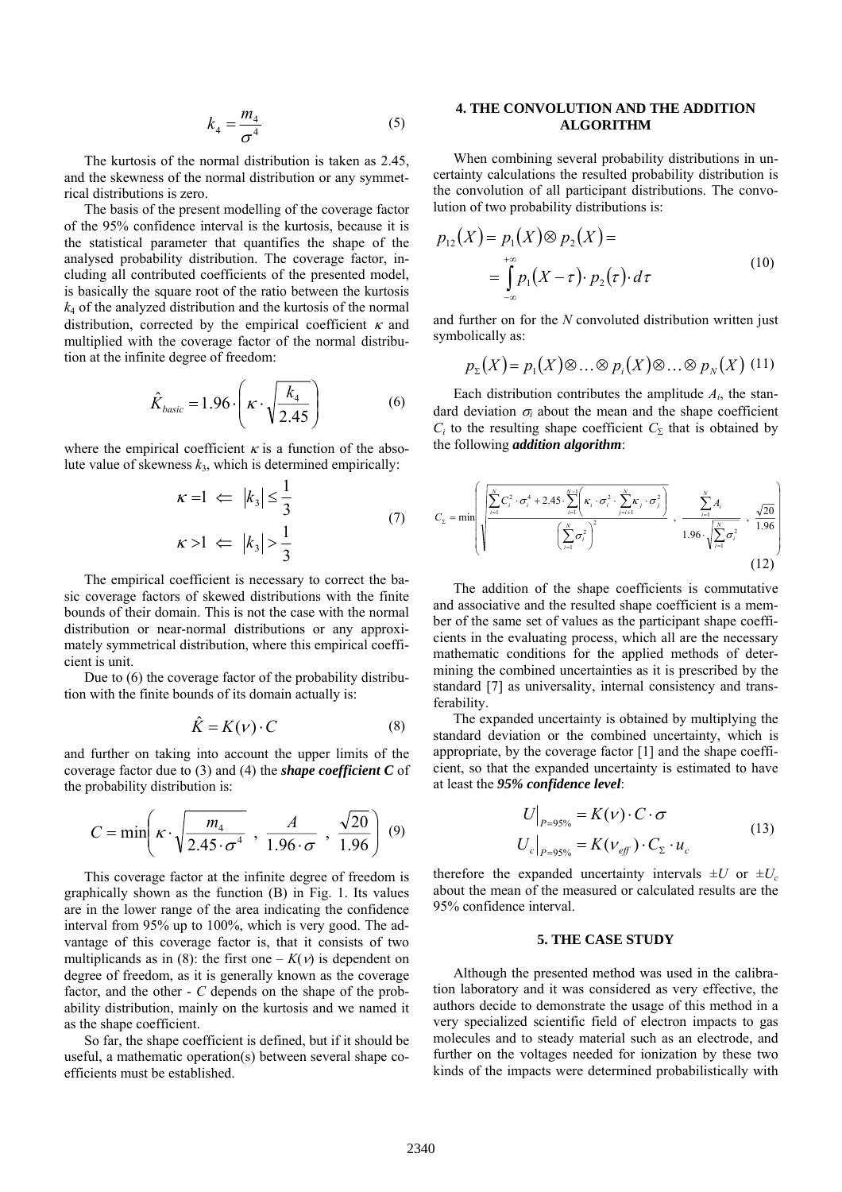$$
k_4 = \frac{m_4}{\sigma^4} \tag{5}
$$

The kurtosis of the normal distribution is taken as 2.45, and the skewness of the normal distribution or any symmetrical distributions is zero.

The basis of the present modelling of the coverage factor of the 95% confidence interval is the kurtosis, because it is the statistical parameter that quantifies the shape of the analysed probability distribution. The coverage factor, including all contributed coefficients of the presented model, is basically the square root of the ratio between the kurtosis *k*4 of the analyzed distribution and the kurtosis of the normal distribution, corrected by the empirical coefficient  $\kappa$  and multiplied with the coverage factor of the normal distribution at the infinite degree of freedom:

$$
\hat{K}_{basic} = 1.96 \cdot \left( \kappa \cdot \sqrt{\frac{k_4}{2.45}} \right) \tag{6}
$$

where the empirical coefficient  $\kappa$  is a function of the absolute value of skewness  $k_3$ , which is determined empirically:

$$
\kappa = 1 \iff |k_3| \le \frac{1}{3}
$$
  

$$
\kappa > 1 \iff |k_3| > \frac{1}{3}
$$
 (7)

The empirical coefficient is necessary to correct the basic coverage factors of skewed distributions with the finite bounds of their domain. This is not the case with the normal distribution or near-normal distributions or any approximately symmetrical distribution, where this empirical coefficient is unit.

Due to (6) the coverage factor of the probability distribution with the finite bounds of its domain actually is:

$$
\hat{K} = K(\nu) \cdot C \tag{8}
$$

and further on taking into account the upper limits of the coverage factor due to (3) and (4) the *shape coefficient C* of the probability distribution is:

$$
C = \min\left(\kappa \cdot \sqrt{\frac{m_4}{2.45 \cdot \sigma^4}} \frac{A}{1.96 \cdot \sigma} \frac{\sqrt{20}}{1.96}\right) (9)
$$

This coverage factor at the infinite degree of freedom is graphically shown as the function (B) in Fig. 1. Its values are in the lower range of the area indicating the confidence interval from 95% up to 100%, which is very good. The advantage of this coverage factor is, that it consists of two multiplicands as in (8): the first one  $-K(v)$  is dependent on degree of freedom, as it is generally known as the coverage factor, and the other - *C* depends on the shape of the probability distribution, mainly on the kurtosis and we named it as the shape coefficient.

So far, the shape coefficient is defined, but if it should be useful, a mathematic operation(s) between several shape coefficients must be established.

## **4. THE CONVOLUTION AND THE ADDITION ALGORITHM**

When combining several probability distributions in uncertainty calculations the resulted probability distribution is the convolution of all participant distributions. The convolution of two probability distributions is:

$$
p_{12}(X) = p_1(X) \otimes p_2(X) =
$$
  
= 
$$
\int_{-\infty}^{+\infty} p_1(X - \tau) \cdot p_2(\tau) \cdot d\tau
$$
 (10)

and further on for the *N* convoluted distribution written just symbolically as:

$$
p_{\Sigma}(X) = p_1(X) \otimes \ldots \otimes p_i(X) \otimes \ldots \otimes p_N(X)
$$
 (11)

Each distribution contributes the amplitude  $A_i$ , the standard deviation  $\sigma_i$  about the mean and the shape coefficient  $C_i$  to the resulting shape coefficient  $C_\Sigma$  that is obtained by the following *addition algorithm*:

$$
C_{\Sigma} = \min \left( \sqrt{\frac{\sum_{i=1}^{N} C_{i}^{2} \cdot \sigma_{i}^{4} + 2.45 \cdot \sum_{i=1}^{N-1} \left( \kappa_{i} \cdot \sigma_{i}^{2} \cdot \sum_{j=i+1}^{N} \kappa_{j} \cdot \sigma_{j}^{2} \right)}{\left(\sum_{i=1}^{N} \sigma_{i}^{2}\right)^{2}}, \frac{\sum_{i=1}^{N} A_{i}}{1.96 \cdot \sqrt{\sum_{i=1}^{N} \sigma_{i}^{2}}}, \frac{\sqrt{20}}{1.96} \right)
$$
(12)

The addition of the shape coefficients is commutative and associative and the resulted shape coefficient is a member of the same set of values as the participant shape coefficients in the evaluating process, which all are the necessary mathematic conditions for the applied methods of determining the combined uncertainties as it is prescribed by the standard [7] as universality, internal consistency and transferability.

The expanded uncertainty is obtained by multiplying the standard deviation or the combined uncertainty, which is appropriate, by the coverage factor [1] and the shape coefficient, so that the expanded uncertainty is estimated to have at least the *95% confidence level*:

$$
U\Big|_{P=95\%} = K(\nu) \cdot C \cdot \sigma
$$
  
\n
$$
U_c\Big|_{P=95\%} = K(\nu_{\text{eff}}) \cdot C_{\Sigma} \cdot u_c
$$
\n(13)

therefore the expanded uncertainty intervals  $\pm U$  or  $\pm U_c$ about the mean of the measured or calculated results are the 95% confidence interval.

#### **5. THE CASE STUDY**

Although the presented method was used in the calibration laboratory and it was considered as very effective, the authors decide to demonstrate the usage of this method in a very specialized scientific field of electron impacts to gas molecules and to steady material such as an electrode, and further on the voltages needed for ionization by these two kinds of the impacts were determined probabilistically with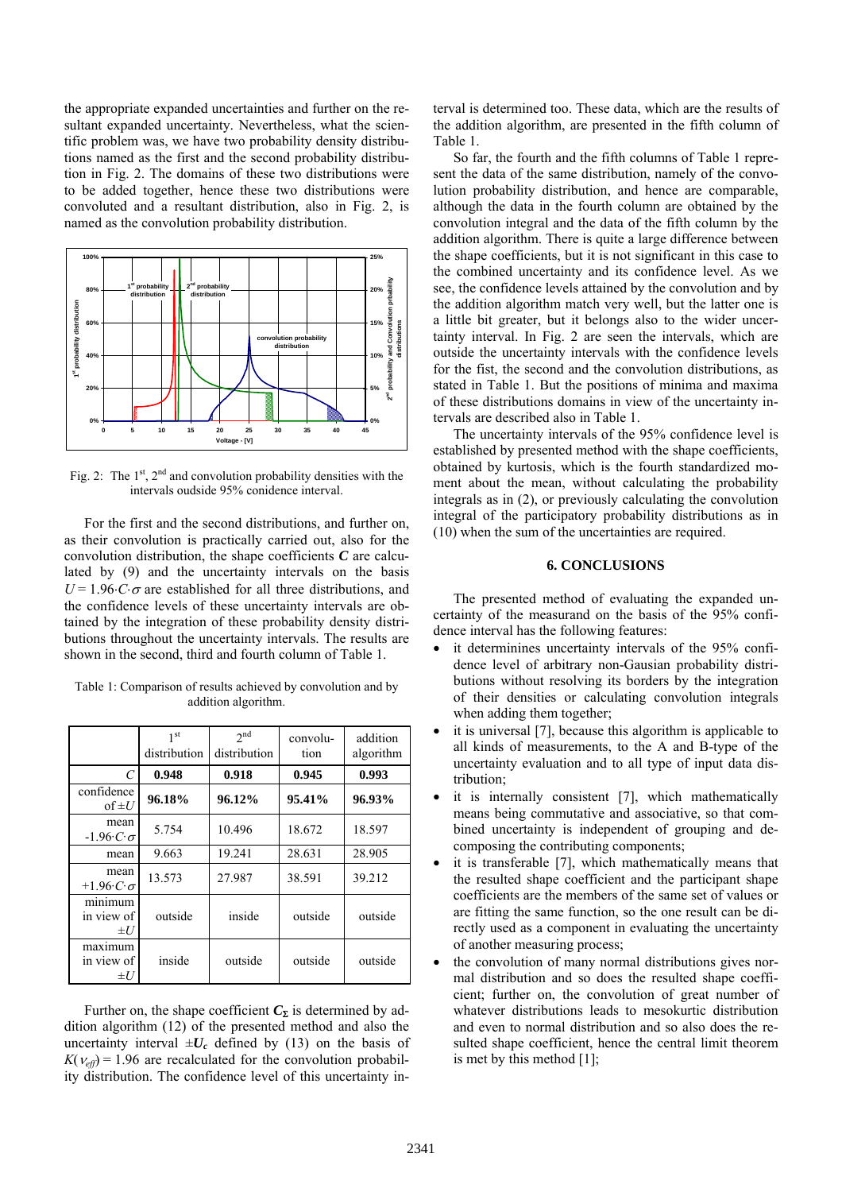the appropriate expanded uncertainties and further on the resultant expanded uncertainty. Nevertheless, what the scientific problem was, we have two probability density distributions named as the first and the second probability distribution in Fig. 2. The domains of these two distributions were to be added together, hence these two distributions were convoluted and a resultant distribution, also in Fig. 2, is named as the convolution probability distribution.



Fig. 2: The  $1<sup>st</sup>$ ,  $2<sup>nd</sup>$  and convolution probability densities with the intervals oudside 95% conidence interval.

For the first and the second distributions, and further on, as their convolution is practically carried out, also for the convolution distribution, the shape coefficients *C* are calculated by (9) and the uncertainty intervals on the basis  $U = 1.96 \cdot C \cdot \sigma$  are established for all three distributions, and the confidence levels of these uncertainty intervals are obtained by the integration of these probability density distributions throughout the uncertainty intervals. The results are shown in the second, third and fourth column of Table 1.

| Table 1: Comparison of results achieved by convolution and by |  |
|---------------------------------------------------------------|--|
| addition algorithm.                                           |  |

|                                      | 1 <sup>st</sup><br>distribution | 2 <sub>nd</sub><br>distribution | convolu-<br>tion | addition<br>algorithm |
|--------------------------------------|---------------------------------|---------------------------------|------------------|-----------------------|
| C                                    | 0.948                           | 0.918                           | 0.945            | 0.993                 |
| confidence<br>of $\pm U$             | 96.18%                          | 96.12%                          | 95.41%           | 96.93%                |
| mean<br>$-1.96 \cdot C \cdot \sigma$ | 5.754                           | 10.496                          | 18.672           | 18.597                |
| mean                                 | 9.663                           | 19.241                          | 28.631           | 28.905                |
| mean<br>+1.96 $C\sigma$              | 13.573                          | 27.987                          | 38.591           | 39.212                |
| minimum<br>in view of<br>$\pm U$     | outside                         | inside                          | outside          | outside               |
| maximum<br>in view of<br>$\pm U$     | inside                          | outside                         | outside          | outside               |

Further on, the shape coefficient *C*Σ is determined by addition algorithm (12) of the presented method and also the uncertainty interval  $\pm U_c$  defined by (13) on the basis of  $K(v_{\text{eff}})$  = 1.96 are recalculated for the convolution probability distribution. The confidence level of this uncertainty interval is determined too. These data, which are the results of the addition algorithm, are presented in the fifth column of Table 1.

So far, the fourth and the fifth columns of Table 1 represent the data of the same distribution, namely of the convolution probability distribution, and hence are comparable, although the data in the fourth column are obtained by the convolution integral and the data of the fifth column by the addition algorithm. There is quite a large difference between the shape coefficients, but it is not significant in this case to the combined uncertainty and its confidence level. As we see, the confidence levels attained by the convolution and by the addition algorithm match very well, but the latter one is a little bit greater, but it belongs also to the wider uncertainty interval. In Fig. 2 are seen the intervals, which are outside the uncertainty intervals with the confidence levels for the fist, the second and the convolution distributions, as stated in Table 1. But the positions of minima and maxima of these distributions domains in view of the uncertainty intervals are described also in Table 1.

The uncertainty intervals of the 95% confidence level is established by presented method with the shape coefficients, obtained by kurtosis, which is the fourth standardized moment about the mean, without calculating the probability integrals as in (2), or previously calculating the convolution integral of the participatory probability distributions as in (10) when the sum of the uncertainties are required.

## **6. CONCLUSIONS**

The presented method of evaluating the expanded uncertainty of the measurand on the basis of the 95% confidence interval has the following features:

- it determinines uncertainty intervals of the 95% confidence level of arbitrary non-Gausian probability distributions without resolving its borders by the integration of their densities or calculating convolution integrals when adding them together;
- it is universal [7], because this algorithm is applicable to all kinds of measurements, to the A and B-type of the uncertainty evaluation and to all type of input data distribution;
- it is internally consistent [7], which mathematically means being commutative and associative, so that combined uncertainty is independent of grouping and decomposing the contributing components;
- it is transferable [7], which mathematically means that the resulted shape coefficient and the participant shape coefficients are the members of the same set of values or are fitting the same function, so the one result can be directly used as a component in evaluating the uncertainty of another measuring process;
- the convolution of many normal distributions gives normal distribution and so does the resulted shape coefficient; further on, the convolution of great number of whatever distributions leads to mesokurtic distribution and even to normal distribution and so also does the resulted shape coefficient, hence the central limit theorem is met by this method [1];